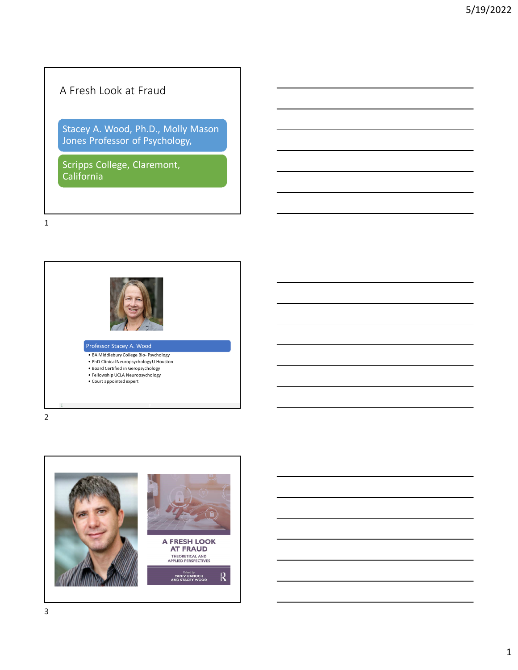# A Fresh Look at Fraud

Stacey A. Wood, Ph.D., Molly Mason Jones Professor of Psychology,

Scripps College, Claremont, California





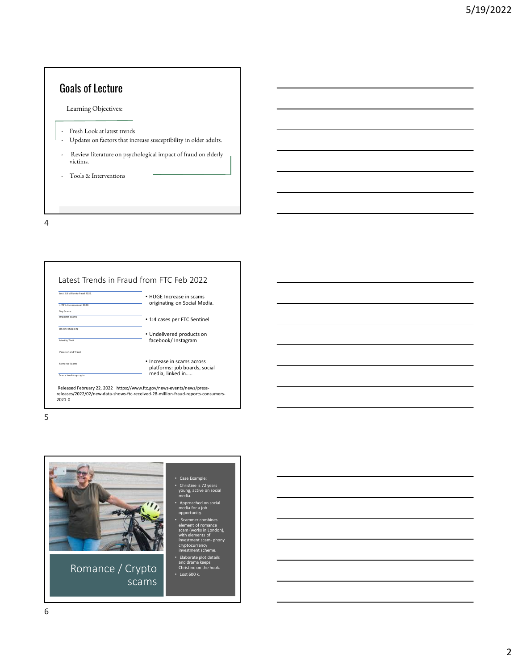# Goals of Lecture

Learning Objectives:

- Fresh Look at latest trends
- Updates on factors that increase susceptibility in older adults.
- Review literature on psychological impact of fraud on elderly victims.
- Tools & Interventions

4

| Lost 5.8 hillion to fraud 2021 | • HUGE Increase in scams      |
|--------------------------------|-------------------------------|
| > 70% Increase over 2020       | originating on Social Media.  |
| Top Scams:                     |                               |
| <b>Imposter Scams</b>          | • 1:4 cases per FTC Sentinel  |
| On-line Shopping               |                               |
|                                | • Undelivered products on     |
| <b>Identity Theft</b>          | facebook/ Instagram           |
| Vacation and Travel            |                               |
|                                | Increase in scams across      |
| <b>Romance Scams</b>           | platforms: job boards, social |
| Scams involving crypto         | media. linked in              |

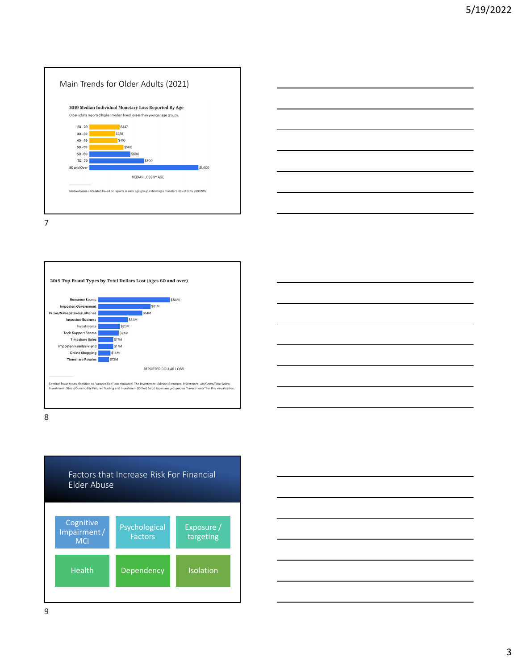





8



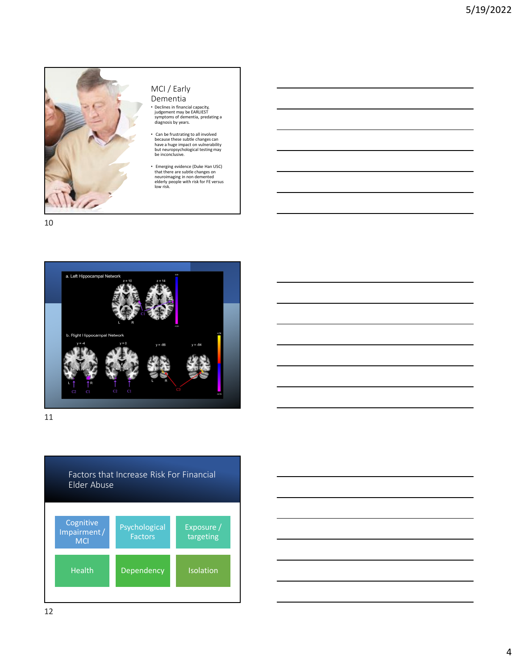

# MCI / Early

• Declines in financial capacity, judgement may be EARLIEST symptoms of dementia, predating a diagnosis by years.

• Can be frustrating to all involved because these subtle changes can have a huge impact on vulnerability but neuropsychological testing may be inconclusive.

• Emerging evidence (Duke Han USC) that there are subtle changes on neuroimaging in non demented elderly people with risk for FE versus low risk.







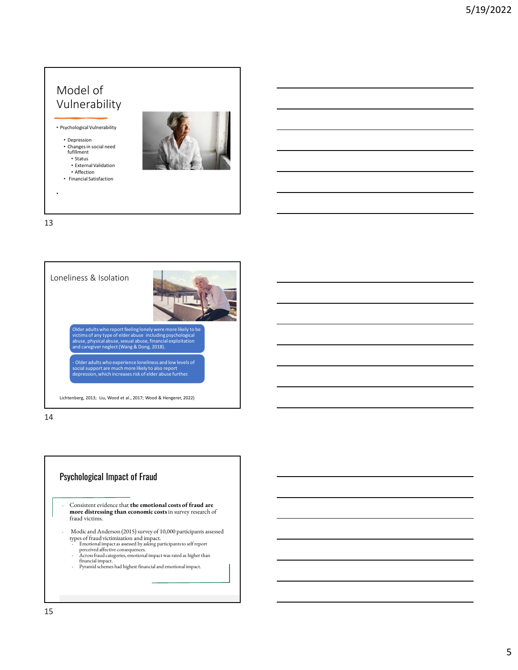

13



14

## Psychological Impact of Fraud

- Consistent evidence that **the emotional costs of fraud are more distressing than economic costs**in survey research of fraud victims.
- Modic and Anderson (2015) survey of 10,000 participants assessed
	- types of fraud victimization and impact.<br>
	Intoinal impact assessed by asking participants to self report<br>
	perceived affective consequences.<br>
	Across fraud categories, emotional impact was rated as higher than<br>
	financial imp
	-
	-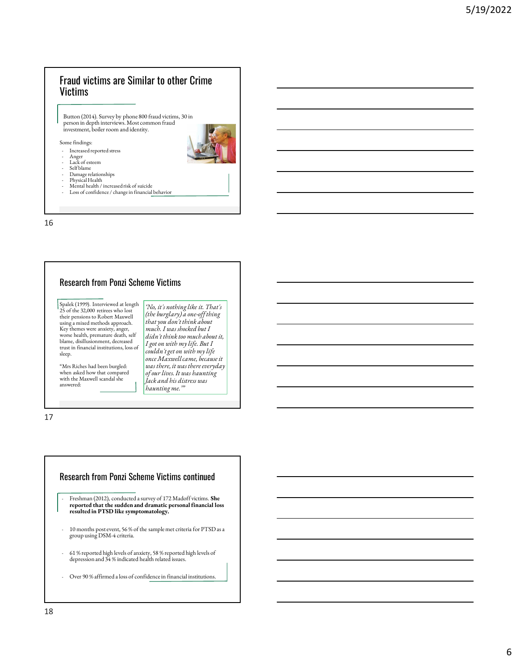## Fraud victims are Similar to other Crime **Victims**

Button (2014). Survey by phone 800 fraud victims, 30 in person in depth interviews. Most common fraud investment, boiler room and identity.

#### Some findings:

- Increased reported stress
- Anger Lack of esteem Self blame
- 
- Damage relationships
- 
- Physical Health Mental health / increased risk of suicide
- Loss of confidence / change in financial behavior

P a 16

### Research from Ponzi Scheme Victims

*'No, it's nothing like it. That's (the burglary) a one-off thing that you don't think about much. I was shocked but I didn't think too much about it, I got on with my life. But I couldn't get on with my life once Maxwell came, because it was there, it was there everyday of our lives. It was haunting Jack and his distress was haunting me.'"*

Spalek (1999). Interviewed at length 25 of the 32,000 retirees who lost their pensions to Robert Maxwell using a mixed methods approach. Key themes were anxiety, anger, worse health, premature death, self blame, disillusionment, decreased trust in financial institutions, loss of sleep.

"Mrs Riches had been burgled: when asked how that compared with the Maxwell scandal she answered:



- group using DSM-4 criteria.
- 61 % reported high levels of anxiety, 58 % reported high levels of depression and 34 % indicated health related issues.
- Over 90 % affirmed a loss of confidence in financial institutions.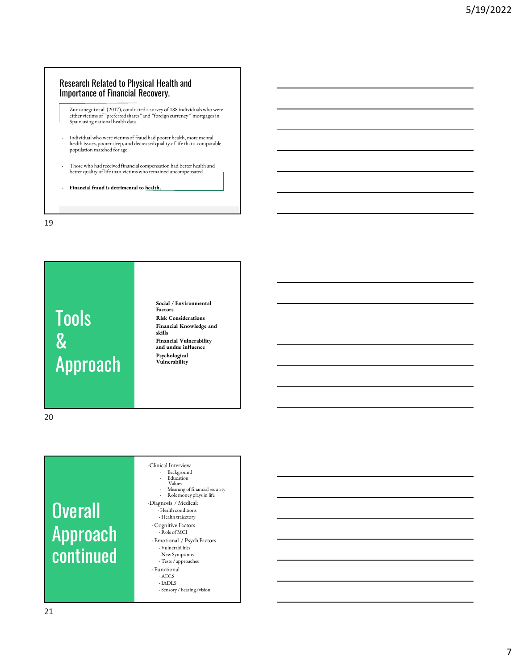### Research Related to Physical Health and Importance of Financial Recovery.

- Zunzunegui et al (2017), conducted a survey of 188 individuals who were either victims of "preferred shares" and "foreign currency " mortgages in Spain using national health data.
- Individual who were victims of fraud had poorer health, more mental health issues, poorer sleep, and decreased quality of life that a comparable population matched for age.
- Those who had received financial compensation had better health and better quality of life than victims who remained uncompensated.
- **Financial fraud is detrimental to health.**

19

# Tools & Approach

**Social / Environmental Factors Risk Considerations Financial Knowledge and skills Financial Vulnerability and undue influence Psychological Vulnerability**

20

# **Overall** Approach continued

- -Clinical Interview - Background - Education - Values - Meaning of financial security - Role money plays in life -Diagnosis / Medical: - Health conditions - Health trajectory - Cognitive Factors - Role of MCI - Emotional / Psych Factors - Vulnerabilities - New Symptoms - Tests / approaches - Functional - ADLS - IADLS
	- Sensory / hearing /vision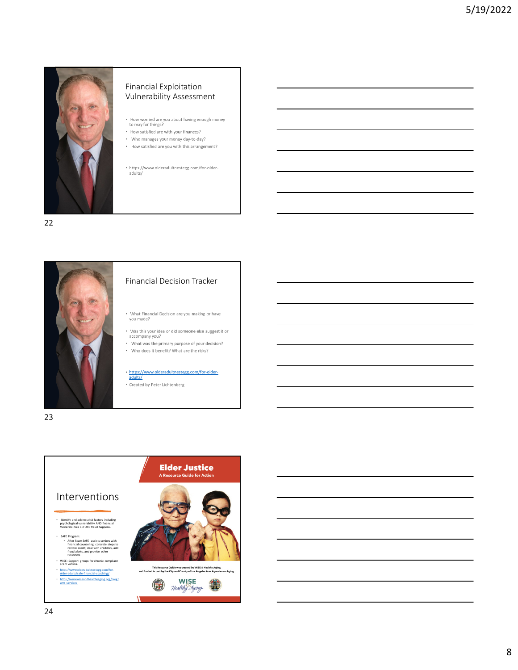

### Financial Exploitation Vulnerability Assessment

- How worried are you about having enough money<br>to may for things?
- How satisfied are with your finances? . Who manages your money day-to-day?
- How satisfied are you with this arrangement?
- https://www.olderadultnestegg.com/for-older-<br>adults/

22



#### Financial Decision Tracker

- What Financial Decision are you making or have<br>you made?
- Was this your idea or did someone else suggest it or<br>accompany you?
- What was the primary purpose of your decision? • Who does it benefit? What are the risks?

# https://www.olderadultnestegg.com/for-older-adults/

\* Created by Peter Lichtenberg